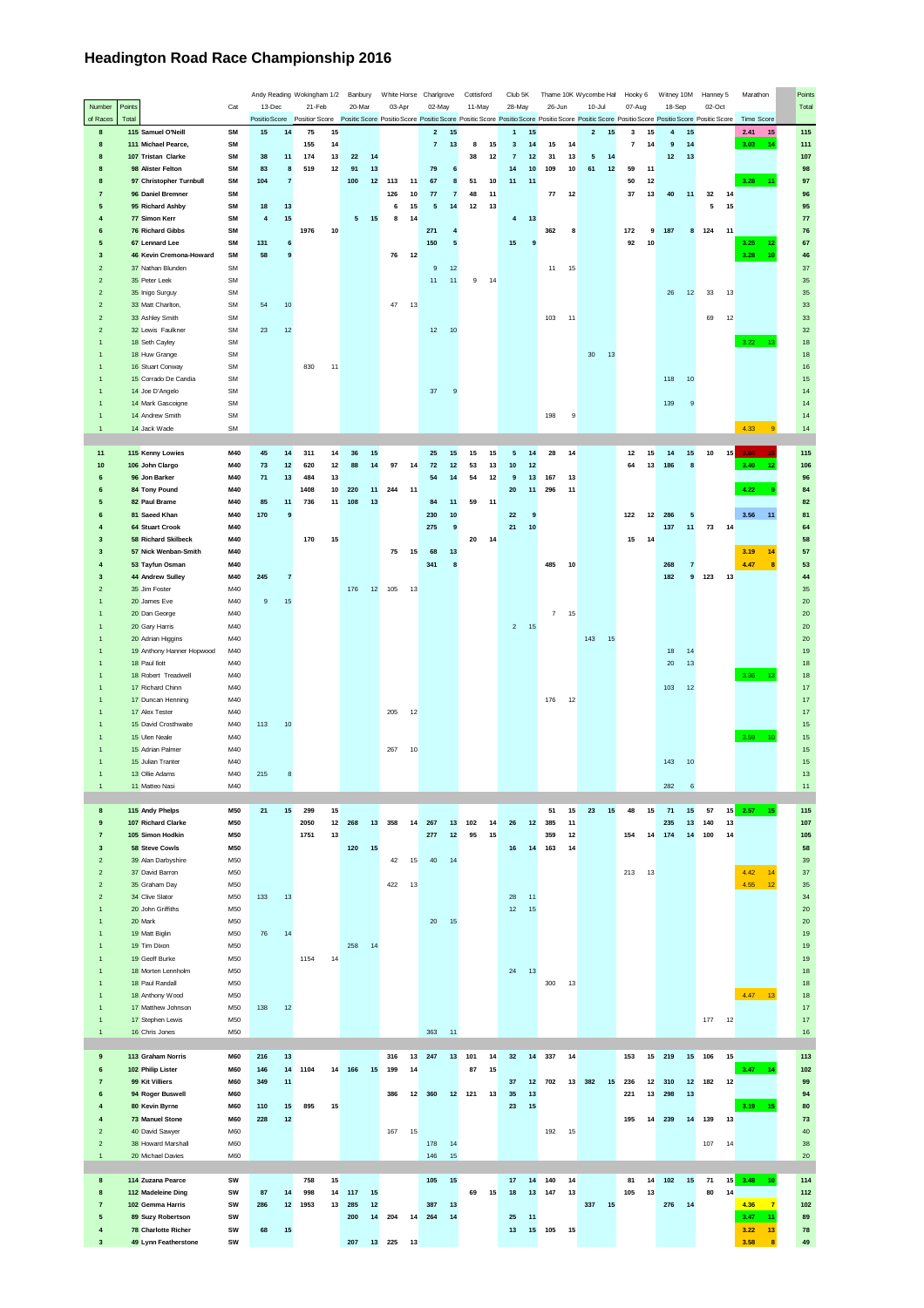## **Headington Road Race Championship 2016**

|                                |                                           |            |           |                       | Andy Reading Wokingham 1/2 Banbury |    |        |    | White Horse Charlgrove |        |                               | Cottisford |    | Club 5K              |              |                      | Thame 10K Wycombe Hall | Hooky 6                 |    | Witney 10M |                         | Hanney 5 |    | Marathon                                                                                                                                                                                                        | Points     |
|--------------------------------|-------------------------------------------|------------|-----------|-----------------------|------------------------------------|----|--------|----|------------------------|--------|-------------------------------|------------|----|----------------------|--------------|----------------------|------------------------|-------------------------|----|------------|-------------------------|----------|----|-----------------------------------------------------------------------------------------------------------------------------------------------------------------------------------------------------------------|------------|
| Number                         | Points                                    | Cat        | 13-Dec    |                       | 21-Feb                             |    | 20-Mar |    | 03-Apr                 |        | 02-May                        | 11-May     |    | 28-May               |              | 26-Jun               | $10 -$ Jul             | 07-Aug                  |    | 18-Sep     |                         | 02-Oct   |    |                                                                                                                                                                                                                 | Total      |
| of Races                       | Total                                     |            |           |                       |                                    |    |        |    |                        |        |                               |            |    |                      |              |                      |                        |                         |    |            |                         |          |    | Positio Score Position Score Positio Score Positio Score Positio Score Positio Score Positio Score Positio Score Positio Score Positio Score Positio Score Positio Score Positio Score Positio Score Time Score |            |
| 8                              | 115 Samuel O'Neill                        | SM         | 15        | 14                    | 75                                 | 15 |        |    |                        |        | $\overline{\mathbf{2}}$<br>15 |            |    | 15<br>$\mathbf{1}$   |              |                      | $\overline{2}$<br>15   | 3                       | 15 | 4          | 15                      |          |    | 2.41<br>15                                                                                                                                                                                                      | 115        |
| 8                              | 111 Michael Pearce,                       | SM         |           |                       | 155                                | 14 |        |    |                        |        | $\overline{7}$<br>13          | 8          | 15 | $\mathbf{3}$         | $14$         | 15<br>14             |                        | $\overline{\mathbf{7}}$ | 14 | 9          | 14                      |          |    | 3.03<br>$-14$                                                                                                                                                                                                   | 111        |
| 8                              | 107 Tristan Clarke                        | SM         | 38        | 11                    | 174                                | 13 | 22     | 14 |                        |        |                               | 38         | 12 | $\bf 7$              | 12<br>31     | 13                   | 5<br>14                |                         |    | 12         | 13                      |          |    |                                                                                                                                                                                                                 | 107        |
| 8                              | 98 Alister Felton                         | SM         | 83        | 8                     | 519                                | 12 | 91     | 13 |                        |        | 79<br>$\bf 6$                 |            |    | 14                   | 10<br>109    | 10                   | 61<br>$12$             | 59                      | 11 |            |                         |          |    |                                                                                                                                                                                                                 | 98         |
| 8                              | 97 Christopher Turnbull                   | SM         | 104       | $\overline{7}$        |                                    |    | 100    | 12 | 113                    | 11     | 67<br>8                       | 51         | 10 | 11<br>11             |              |                      |                        | 50                      | 12 |            |                         |          |    | $3.28 -$<br>11                                                                                                                                                                                                  | 97         |
| 7                              | 96 Daniel Bremner                         | <b>SM</b>  |           |                       |                                    |    |        |    | 126                    | 10     | 77<br>$\overline{7}$          | 48         | 11 |                      |              | 77<br>12             |                        | 37                      | 13 | 40         | 11                      | 32       | 14 |                                                                                                                                                                                                                 | 96         |
| $\overline{\mathbf{5}}$        | 95 Richard Ashby                          | SM         | 18        | 13                    |                                    |    |        |    | 6                      | 15     | ${\bf 5}$<br>14               | 12         | 13 |                      |              |                      |                        |                         |    |            |                         | 5        | 15 |                                                                                                                                                                                                                 | 95         |
| $\overline{4}$                 | 77 Simon Kerr                             | SM         | $\pmb{4}$ | 15                    |                                    |    | 5      | 15 | 8                      | 14     |                               |            |    | $\overline{4}$<br>13 |              |                      |                        |                         |    |            |                         |          |    |                                                                                                                                                                                                                 | ${\bf 77}$ |
| 6                              | 76 Richard Gibbs                          | <b>SM</b>  |           |                       | 1976                               | 10 |        |    |                        |        | 271<br>$\overline{4}$         |            |    |                      | 362          | 8                    |                        | 172                     | 9  | 187        | 8                       | 124      | 11 |                                                                                                                                                                                                                 | 76         |
| 5<br>$\overline{\mathbf{3}}$   | 67 Lennard Lee<br>46 Kevin Cremona-Howard | SM<br>SM   | 131<br>58 | 6<br>$\boldsymbol{9}$ |                                    |    |        |    | 76                     | 12     | 150<br>${\bf 5}$              |            |    | 15                   | $\mathbf{9}$ |                      |                        | 92                      | 10 |            |                         |          |    | 3.25<br>12<br>10                                                                                                                                                                                                | 67<br>46   |
|                                |                                           |            |           |                       |                                    |    |        |    |                        |        |                               |            |    |                      |              |                      |                        |                         |    |            |                         |          |    | 3.28                                                                                                                                                                                                            |            |
| $\overline{2}$                 | 37 Nathan Blunden                         | SM         |           |                       |                                    |    |        |    |                        |        | 9<br>12                       |            |    |                      |              | 11<br>15             |                        |                         |    |            |                         |          |    |                                                                                                                                                                                                                 | 37         |
| $\mathbf 2$<br>$\overline{2}$  | 35 Peter Leek<br>35 Inigo Surguy          | SM<br>SM   |           |                       |                                    |    |        |    |                        |        | 11<br>11                      | 9          | 14 |                      |              |                      |                        |                         |    | 26         | 12                      | 33       | 13 |                                                                                                                                                                                                                 | 35<br>35   |
| $\overline{2}$                 | 33 Matt Charlton,                         | <b>SM</b>  | 54        | 10                    |                                    |    |        |    | 47                     | 13     |                               |            |    |                      |              |                      |                        |                         |    |            |                         |          |    |                                                                                                                                                                                                                 | 33         |
| $\mathbf 2$                    | 33 Ashley Smith                           | SM         |           |                       |                                    |    |        |    |                        |        |                               |            |    |                      | 103          | 11                   |                        |                         |    |            |                         | 69       | 12 |                                                                                                                                                                                                                 | 33         |
| $\sqrt{2}$                     | 32 Lewis Faulkner                         | SM         | 23        | 12                    |                                    |    |        |    |                        |        | 12<br>10                      |            |    |                      |              |                      |                        |                         |    |            |                         |          |    |                                                                                                                                                                                                                 | 32         |
| $\mathbf{1}$                   | 18 Seth Cayley                            | SM         |           |                       |                                    |    |        |    |                        |        |                               |            |    |                      |              |                      |                        |                         |    |            |                         |          |    | 3.22<br>42                                                                                                                                                                                                      | 18         |
| $\mathbf{1}$                   | 18 Huw Grange                             | SM         |           |                       |                                    |    |        |    |                        |        |                               |            |    |                      |              |                      | 30<br>13               |                         |    |            |                         |          |    |                                                                                                                                                                                                                 | 18         |
| $\overline{1}$                 | 16 Stuart Conway                          | SM         |           |                       | 830                                | 11 |        |    |                        |        |                               |            |    |                      |              |                      |                        |                         |    |            |                         |          |    |                                                                                                                                                                                                                 | $16$       |
| $\mathbf{1}$                   | 15 Corrado De Candia                      | SM         |           |                       |                                    |    |        |    |                        |        |                               |            |    |                      |              |                      |                        |                         |    | 118        | 10                      |          |    |                                                                                                                                                                                                                 | 15         |
| $\overline{1}$                 | 14 Joe D'Angelo                           | SM         |           |                       |                                    |    |        |    |                        |        | 37<br>9                       |            |    |                      |              |                      |                        |                         |    |            |                         |          |    |                                                                                                                                                                                                                 | 14         |
| $\mathbf{1}$                   | 14 Mark Gascoigne                         | <b>SM</b>  |           |                       |                                    |    |        |    |                        |        |                               |            |    |                      |              |                      |                        |                         |    | 139        | $9$                     |          |    |                                                                                                                                                                                                                 | 14         |
| $\mathbf{1}$                   | 14 Andrew Smith                           | SM         |           |                       |                                    |    |        |    |                        |        |                               |            |    |                      | 198          | 9                    |                        |                         |    |            |                         |          |    |                                                                                                                                                                                                                 | 14         |
| $\mathbf{1}$                   | 14 Jack Wade                              | SM         |           |                       |                                    |    |        |    |                        |        |                               |            |    |                      |              |                      |                        |                         |    |            |                         |          |    | 4.33<br>$\overline{9}$                                                                                                                                                                                          | 14         |
|                                |                                           |            |           |                       |                                    |    |        |    |                        |        |                               |            |    |                      |              |                      |                        |                         |    |            |                         |          |    |                                                                                                                                                                                                                 |            |
| 11                             | 115 Kenny Lowies                          | M40        | 45        | 14                    | 311                                | 14 | 36     | 15 |                        |        | 25<br>15                      | 15         | 15 | 5<br>14              |              | 28<br>14             |                        | 12                      | 15 | 14         | 15                      | 10       | 15 | $3.04$ 15                                                                                                                                                                                                       | 115        |
| 10                             | 106 John Clargo                           | M40        | 73        | $12$                  | 620                                | 12 | 88     | 14 | 97                     | 14     | 72<br>$12$                    | 53         | 13 | 10<br>$12$           |              |                      |                        | 64                      | 13 | 186        | 8                       |          |    | 3.40<br>12                                                                                                                                                                                                      | 106        |
| 6                              | 96 Jon Barker                             | M40        | 71        | 13                    | 484                                | 13 |        |    |                        |        | 54<br>14                      | 54         | 12 | 9                    | 13<br>167    | 13                   |                        |                         |    |            |                         |          |    |                                                                                                                                                                                                                 | 96         |
| 6                              | 84 Tony Pound                             | M40        |           |                       | 1408                               | 10 | 220    | 11 | 244                    | 11     |                               |            |    | 20<br>11             | 296          | 11                   |                        |                         |    |            |                         |          |    | 4.22                                                                                                                                                                                                            | 84         |
| 5                              | 82 Paul Brame                             | M40        | 85        | 11                    | 736                                | 11 | 108    | 13 |                        |        | 11<br>84                      | 59         | 11 |                      |              |                      |                        |                         |    |            |                         |          |    |                                                                                                                                                                                                                 | 82         |
| 6                              | 81 Saeed Khan                             | M40        | 170       | 9                     |                                    |    |        |    |                        |        | $10$<br>230                   |            |    | 22                   | 9            |                      |                        | 122                     | 12 | 286        | 5                       |          |    | 3.56<br>11                                                                                                                                                                                                      | 81         |
| $\overline{4}$                 | 64 Stuart Crook                           | M40        |           |                       |                                    |    |        |    |                        |        | 275<br>9                      |            |    | 21                   | $10\,$       |                      |                        |                         |    | 137        | 11                      | 73       | 14 |                                                                                                                                                                                                                 | 64         |
| $\overline{\mathbf{3}}$        | 58 Richard Skilbeck                       | M40        |           |                       | 170                                | 15 |        |    |                        |        |                               | 20         | 14 |                      |              |                      |                        | 15                      | 14 |            |                         |          |    |                                                                                                                                                                                                                 | 58         |
| $\overline{\mathbf{3}}$        | 57 Nick Wenban-Smith                      | M40        |           |                       |                                    |    |        |    | 75                     | 15     | 68<br>13                      |            |    |                      |              |                      |                        |                         |    |            |                         |          |    | 3.19<br>14                                                                                                                                                                                                      | 57         |
| $\overline{4}$                 | 53 Tayfun Osman                           | M40        |           |                       |                                    |    |        |    |                        |        | 341<br>8                      |            |    |                      | 485          | 10                   |                        |                         |    | 268        | $\overline{\mathbf{7}}$ |          |    | 4.47<br>8                                                                                                                                                                                                       | 53         |
| $\overline{\mathbf{3}}$        | 44 Andrew Sulley                          | M40        | 245       | $\overline{7}$        |                                    |    |        |    |                        |        |                               |            |    |                      |              |                      |                        |                         |    | 182        | $\overline{9}$          | 123      | 13 |                                                                                                                                                                                                                 | 44         |
| $\overline{2}$                 | 35 Jim Foster                             | M40        |           |                       |                                    |    | 176    | 12 | 105                    | 13     |                               |            |    |                      |              |                      |                        |                         |    |            |                         |          |    |                                                                                                                                                                                                                 | 35         |
| $\mathbf{1}$                   | 20 James Eve                              | M40        | 9         | 15                    |                                    |    |        |    |                        |        |                               |            |    |                      |              |                      |                        |                         |    |            |                         |          |    |                                                                                                                                                                                                                 | $20\,$     |
| $\overline{1}$                 | 20 Dan George                             | M40        |           |                       |                                    |    |        |    |                        |        |                               |            |    |                      |              | $\overline{7}$<br>15 |                        |                         |    |            |                         |          |    |                                                                                                                                                                                                                 | 20         |
| $\mathbf{1}$                   | 20 Gary Harris                            | M40        |           |                       |                                    |    |        |    |                        |        |                               |            |    | $\overline{2}$<br>15 |              |                      |                        |                         |    |            |                         |          |    |                                                                                                                                                                                                                 | 20         |
| 1                              | 20 Adrian Higgins                         | M40        |           |                       |                                    |    |        |    |                        |        |                               |            |    |                      |              |                      | 143<br>15              |                         |    |            |                         |          |    |                                                                                                                                                                                                                 | 20         |
| $\overline{1}$                 | 19 Anthony Hanner Hopwood                 | M40        |           |                       |                                    |    |        |    |                        |        |                               |            |    |                      |              |                      |                        |                         |    | 18         | 14                      |          |    |                                                                                                                                                                                                                 | 19         |
| $\mathbf{1}$                   | 18 Paul llott                             | M40        |           |                       |                                    |    |        |    |                        |        |                               |            |    |                      |              |                      |                        |                         |    | 20         | 13                      |          |    |                                                                                                                                                                                                                 | 18         |
| $\overline{1}$                 | 18 Robert Treadwell                       | M40        |           |                       |                                    |    |        |    |                        |        |                               |            |    |                      |              |                      |                        |                         |    |            |                         |          |    | 3.36 13                                                                                                                                                                                                         | $18\,$     |
| $\overline{1}$                 | 17 Richard Chinn                          | M40        |           |                       |                                    |    |        |    |                        |        |                               |            |    |                      |              |                      |                        |                         |    | 103        | 12                      |          |    |                                                                                                                                                                                                                 | $17\,$     |
| $\overline{1}$                 | 17 Duncan Henning                         | M40        |           |                       |                                    |    |        |    |                        |        |                               |            |    |                      | 176          | 12                   |                        |                         |    |            |                         |          |    |                                                                                                                                                                                                                 | 17         |
| $\mathbf{1}$                   | 17 Alex Tester                            | M40        |           |                       |                                    |    |        |    | 205                    | 12     |                               |            |    |                      |              |                      |                        |                         |    |            |                         |          |    |                                                                                                                                                                                                                 | $17\,$     |
| $\mathbf{1}$                   | 15 David Crosthwaite                      | M40        | 113       | 10                    |                                    |    |        |    |                        |        |                               |            |    |                      |              |                      |                        |                         |    |            |                         |          |    |                                                                                                                                                                                                                 | 15         |
| $\mathbf{1}$                   | 15 Ulen Neale                             | M40        |           |                       |                                    |    |        |    |                        |        |                               |            |    |                      |              |                      |                        |                         |    |            |                         |          |    | $3.59 - 10$                                                                                                                                                                                                     | 15         |
| $\overline{1}$                 | 15 Adrian Palmer                          | M40        |           |                       |                                    |    |        |    | 267                    | 10     |                               |            |    |                      |              |                      |                        |                         |    |            |                         |          |    |                                                                                                                                                                                                                 | 15         |
| $\mathbf{1}$                   | 15 Julian Tranter                         | M40        |           |                       |                                    |    |        |    |                        |        |                               |            |    |                      |              |                      |                        |                         |    | 143        | 10                      |          |    |                                                                                                                                                                                                                 | 15         |
| $\mathbf{1}$<br>$\overline{1}$ | 13 Ollie Adams                            | M40        | 215       | 8                     |                                    |    |        |    |                        |        |                               |            |    |                      |              |                      |                        |                         |    |            |                         |          |    |                                                                                                                                                                                                                 | 13         |
|                                | 11 Matteo Nasi                            | M40        |           |                       |                                    |    |        |    |                        |        |                               |            |    |                      |              |                      |                        |                         |    | 282        | 6                       |          |    |                                                                                                                                                                                                                 | 11         |
| 8                              | 115 Andy Phelps                           | <b>M50</b> | 21        | 15                    | 299                                | 15 |        |    |                        |        |                               |            |    |                      | 51           | 15                   | 23<br>15               | 48                      | 15 | 71         | 15                      | 57       | 15 | $2.57$ 15                                                                                                                                                                                                       | 115        |
| 9                              | 107 Richard Clarke                        | M50        |           |                       | 2050                               | 12 | 268    | 13 | 358                    | 14     | 267<br>13                     | 102        | 14 | 26                   | 12<br>385    | 11                   |                        |                         |    | 235        | 13                      | 140      | 13 |                                                                                                                                                                                                                 | 107        |
| $\overline{7}$                 | 105 Simon Hodkin                          | M50        |           |                       | 1751                               | 13 |        |    |                        |        | 277<br>12                     | 95         | 15 |                      | 359          | 12                   |                        | 154                     |    | 14 174     | 14                      | 100      | 14 |                                                                                                                                                                                                                 | 105        |
| $\overline{\mathbf{3}}$        | 58 Steve Cowls                            | M50        |           |                       |                                    |    | 120    | 15 |                        |        |                               |            |    | 16                   | 14<br>163    | 14                   |                        |                         |    |            |                         |          |    |                                                                                                                                                                                                                 | 58         |
| $\overline{c}$                 | 39 Alan Darbyshire                        | M50        |           |                       |                                    |    |        |    | 42                     | 15     | 40<br>14                      |            |    |                      |              |                      |                        |                         |    |            |                         |          |    |                                                                                                                                                                                                                 | 39         |
| $\sqrt{2}$                     | 37 David Barron                           | M50        |           |                       |                                    |    |        |    |                        |        |                               |            |    |                      |              |                      |                        | 213                     | 13 |            |                         |          |    | 4.42<br>14                                                                                                                                                                                                      | 37         |
| $\overline{2}$                 | 35 Graham Day                             | M50        |           |                       |                                    |    |        |    | 422                    | 13     |                               |            |    |                      |              |                      |                        |                         |    |            |                         |          |    | 4.55<br>12                                                                                                                                                                                                      | 35         |
| $\overline{2}$                 | 34 Clive Slator                           | M50        | 133       | 13                    |                                    |    |        |    |                        |        |                               |            |    | 28<br>11             |              |                      |                        |                         |    |            |                         |          |    |                                                                                                                                                                                                                 | 34         |
| $\overline{1}$                 | 20 John Griffiths                         | M50        |           |                       |                                    |    |        |    |                        |        |                               |            |    | 12<br>15             |              |                      |                        |                         |    |            |                         |          |    |                                                                                                                                                                                                                 | $20\,$     |
| $\mathbf{1}$                   | 20 Mark                                   | M50        |           |                       |                                    |    |        |    |                        |        | 20<br>15                      |            |    |                      |              |                      |                        |                         |    |            |                         |          |    |                                                                                                                                                                                                                 | 20         |
| $\overline{1}$                 | 19 Matt Biglin                            | M50        | 76        | 14                    |                                    |    |        |    |                        |        |                               |            |    |                      |              |                      |                        |                         |    |            |                         |          |    |                                                                                                                                                                                                                 | 19         |
| $\mathbf{1}$                   | 19 Tim Dixon                              | M50        |           |                       |                                    |    | 258    | 14 |                        |        |                               |            |    |                      |              |                      |                        |                         |    |            |                         |          |    |                                                                                                                                                                                                                 | 19         |
| $\overline{1}$                 | 19 Geoff Burke                            | M50        |           |                       | 1154                               | 14 |        |    |                        |        |                               |            |    |                      |              |                      |                        |                         |    |            |                         |          |    |                                                                                                                                                                                                                 | 19         |
| $\mathbf{1}$                   | 18 Morten Lennholm                        | M50        |           |                       |                                    |    |        |    |                        |        |                               |            |    | 24<br>13             |              |                      |                        |                         |    |            |                         |          |    |                                                                                                                                                                                                                 | 18         |
| $\overline{1}$                 | 18 Paul Randall                           | M50        |           |                       |                                    |    |        |    |                        |        |                               |            |    |                      | 300          | 13                   |                        |                         |    |            |                         |          |    |                                                                                                                                                                                                                 | 18         |
| $\mathbf{1}$                   | 18 Anthony Wood                           | M50        |           |                       |                                    |    |        |    |                        |        |                               |            |    |                      |              |                      |                        |                         |    |            |                         |          |    | 4.47 13                                                                                                                                                                                                         | 18         |
| $\overline{1}$                 | 17 Matthew Johnson                        | M50        | 138       | 12                    |                                    |    |        |    |                        |        |                               |            |    |                      |              |                      |                        |                         |    |            |                         |          |    |                                                                                                                                                                                                                 | 17         |
| $\overline{1}$                 | 17 Stephen Lewis                          | M50        |           |                       |                                    |    |        |    |                        |        |                               |            |    |                      |              |                      |                        |                         |    |            |                         | 177      | 12 |                                                                                                                                                                                                                 | $17\,$     |
| $\mathbf{1}$                   | 16 Chris Jones                            | M50        |           |                       |                                    |    |        |    |                        |        | 363<br>11                     |            |    |                      |              |                      |                        |                         |    |            |                         |          |    |                                                                                                                                                                                                                 | $16$       |
|                                |                                           |            |           |                       |                                    |    |        |    |                        |        |                               |            |    |                      |              |                      |                        |                         |    |            |                         |          |    |                                                                                                                                                                                                                 |            |
| $\mathbf 9$                    | 113 Graham Norris                         | <b>M60</b> | 216       | 13                    |                                    |    |        |    | 316                    | 13     | 13<br>247                     | 101        | 14 | 32                   | 14<br>337    | 14                   |                        | 153                     |    | 15 219     | 15                      | 106      | 15 |                                                                                                                                                                                                                 | 113        |
| 6                              | 102 Philip Lister                         | M60        | 146       | 14                    | 1104                               | 14 | 166    | 15 | 199                    | 14     |                               | 87         | 15 |                      |              |                      |                        |                         |    |            |                         |          |    | 3.47<br>14                                                                                                                                                                                                      | 102        |
| $\overline{7}$                 | 99 Kit Villiers                           | <b>M60</b> | 349       | 11                    |                                    |    |        |    |                        |        |                               |            |    | 37                   | 12<br>702    |                      | 13 382<br>15           | 236                     | 12 | 310        | 12                      | 182      | 12 |                                                                                                                                                                                                                 | 99         |
| 6                              | 94 Roger Buswell                          | <b>M60</b> |           |                       |                                    |    |        |    | 386                    | 12 360 |                               | 12 121     | 13 | 35<br>13             |              |                      |                        | 221                     | 13 | 298        | 13                      |          |    |                                                                                                                                                                                                                 | 94         |
| $\overline{4}$                 | 80 Kevin Byrne                            | M60        | 110       | 15                    | 895                                | 15 |        |    |                        |        |                               |            |    | 23<br>15             |              |                      |                        |                         |    |            |                         |          |    | 3.19<br>15                                                                                                                                                                                                      | 80         |
| $\pmb{4}$                      | 73 Manuel Stone                           | <b>M60</b> | 228       | $12$                  |                                    |    |        |    |                        |        |                               |            |    |                      |              |                      |                        | 195                     | 14 | 239        | 14                      | 139      | 13 |                                                                                                                                                                                                                 | 73         |
| $\overline{2}$                 | 40 David Sawyer                           | M60        |           |                       |                                    |    |        |    | 167                    | 15     |                               |            |    |                      | 192          | 15                   |                        |                         |    |            |                         |          |    |                                                                                                                                                                                                                 | 40         |
| $\sqrt{2}$                     | 38 Howard Marshall                        | M60        |           |                       |                                    |    |        |    |                        |        | 178<br>14                     |            |    |                      |              |                      |                        |                         |    |            |                         | 107      | 14 |                                                                                                                                                                                                                 | 38         |
| $\mathbf{1}$                   | 20 Michael Davies                         | M60        |           |                       |                                    |    |        |    |                        |        | 146<br>15                     |            |    |                      |              |                      |                        |                         |    |            |                         |          |    |                                                                                                                                                                                                                 | $20\,$     |
|                                |                                           |            |           |                       |                                    |    |        |    |                        |        |                               |            |    |                      |              |                      |                        |                         |    |            |                         |          |    |                                                                                                                                                                                                                 |            |
| 8                              | 114 Zuzana Pearce                         | SW         |           |                       | 758                                | 15 |        |    |                        |        | 105<br>15                     |            |    | 17                   | 14<br>140    | 14                   |                        | 81                      | 14 | 102        | 15                      | 71       | 15 | 3.48<br>10                                                                                                                                                                                                      | 114        |
| 8                              | 112 Madeleine Ding                        | SW         | 87        | 14                    | 998                                | 14 | 117    | 15 |                        |        |                               | 69         | 15 | 18                   | 13<br>147    | 13                   |                        | 105                     | 13 |            |                         | 80       | 14 |                                                                                                                                                                                                                 | 112        |
| $\overline{7}$                 | 102 Gemma Harris                          | SW         | 286       | 12                    | 1953                               | 13 | 285    | 12 |                        |        | 387<br>13                     |            |    |                      |              |                      | 337<br>15              |                         |    | 276        | 14                      |          |    | 4.36 7                                                                                                                                                                                                          | 102        |
| $\overline{\mathbf{5}}$        | 89 Suzy Robertson                         | SW         |           |                       |                                    |    | 200    | 14 | 204                    | 14     | 264<br>14                     |            |    | 25<br>11             |              |                      |                        |                         |    |            |                         |          |    | 3.47<br>11                                                                                                                                                                                                      | 89         |
| $\pmb{4}$                      | 78 Charlotte Richer                       | SW         | 68        | 15                    |                                    |    |        |    |                        |        |                               |            |    | 13                   | 15<br>105    | 15                   |                        |                         |    |            |                         |          |    | 3.22<br>13                                                                                                                                                                                                      | 78         |
| $\mathbf{3}$                   | 49 Lynn Featherstone                      | SW         |           |                       |                                    |    | 207    |    | 13 225                 | 13     |                               |            |    |                      |              |                      |                        |                         |    |            |                         |          |    | 3.58<br>$\bf{8}$                                                                                                                                                                                                | 49         |